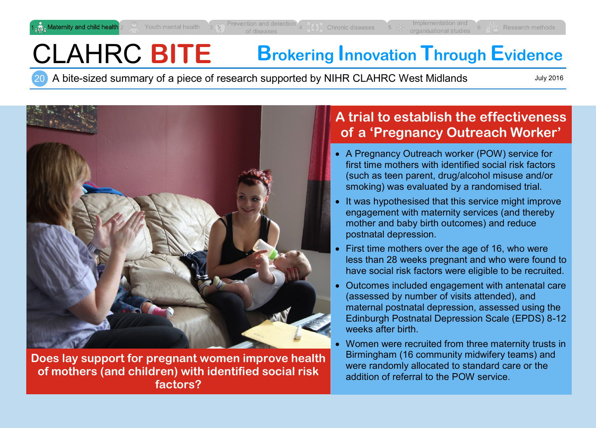# CLAHRC **BITE Brokering Innovation Through Evidence**

20 A bite-sized summary of a piece of research supported by NIHR CLAHRC West Midlands

July 2016



**Does lay support for pregnant women improve health of mothers (and children) with identified social risk factors?**

# **A trial to establish the effectiveness of a 'Pregnancy Outreach Worker'**

- A Pregnancy Outreach worker (POW) service for first time mothers with identified social risk factors (such as teen parent, drug/alcohol misuse and/or smoking) was evaluated by a randomised trial.
- It was hypothesised that this service might improve engagement with maternity services (and thereby mother and baby birth outcomes) and reduce postnatal depression.
- First time mothers over the age of 16, who were less than 28 weeks pregnant and who were found to have social risk factors were eligible to be recruited.
- Outcomes included engagement with antenatal care (assessed by number of visits attended), and maternal postnatal depression, assessed using the Edinburgh Postnatal Depression Scale (EPDS) 8-12 weeks after birth
- Women were recruited from three maternity trusts in Birmingham (16 community midwifery teams) and were randomly allocated to standard care or the addition of referral to the POW service.